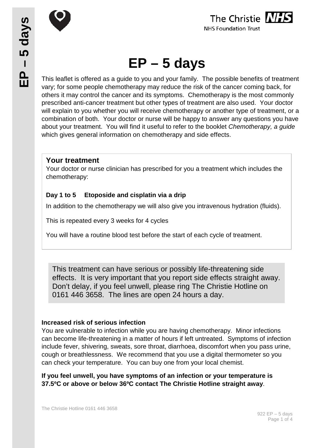

The Christie MHS **NHS Foundation Trust** 

# **EP – 5 days**

This leaflet is offered as a guide to you and your family. The possible benefits of treatment vary; for some people chemotherapy may reduce the risk of the cancer coming back, for others it may control the cancer and its symptoms. Chemotherapy is the most commonly prescribed anti-cancer treatment but other types of treatment are also used. Your doctor will explain to you whether you will receive chemotherapy or another type of treatment, or a combination of both. Your doctor or nurse will be happy to answer any questions you have about your treatment. You will find it useful to refer to the booklet *Chemotherapy, a guide* which gives general information on chemotherapy and side effects.

## **Your treatment**

Your doctor or nurse clinician has prescribed for you a treatment which includes the chemotherapy:

## **Day 1 to 5 Etoposide and cisplatin via a drip**

In addition to the chemotherapy we will also give you intravenous hydration (fluids).

This is repeated every 3 weeks for 4 cycles

You will have a routine blood test before the start of each cycle of treatment.

This treatment can have serious or possibly life-threatening side effects. It is very important that you report side effects straight away. Don't delay, if you feel unwell, please ring The Christie Hotline on 0161 446 3658. The lines are open 24 hours a day.

#### **Increased risk of serious infection**

You are vulnerable to infection while you are having chemotherapy. Minor infections can become life-threatening in a matter of hours if left untreated. Symptoms of infection include fever, shivering, sweats, sore throat, diarrhoea, discomfort when you pass urine, cough or breathlessness. We recommend that you use a digital thermometer so you can check your temperature. You can buy one from your local chemist.

**If you feel unwell, you have symptoms of an infection or your temperature is 37.5ºC or above or below 36ºC contact The Christie Hotline straight away**.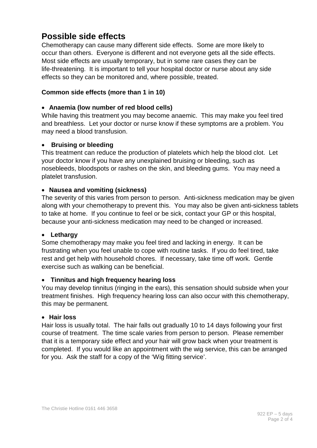# **Possible side effects**

Chemotherapy can cause many different side effects. Some are more likely to occur than others. Everyone is different and not everyone gets all the side effects. Most side effects are usually temporary, but in some rare cases they can be life-threatening. It is important to tell your hospital doctor or nurse about any side effects so they can be monitored and, where possible, treated.

#### **Common side effects (more than 1 in 10)**

#### • **Anaemia (low number of red blood cells)**

While having this treatment you may become anaemic. This may make you feel tired and breathless. Let your doctor or nurse know if these symptoms are a problem. You may need a blood transfusion.

#### • **Bruising or bleeding**

This treatment can reduce the production of platelets which help the blood clot. Let your doctor know if you have any unexplained bruising or bleeding, such as nosebleeds, bloodspots or rashes on the skin, and bleeding gums. You may need a platelet transfusion.

#### • **Nausea and vomiting (sickness)**

The severity of this varies from person to person. Anti-sickness medication may be given along with your chemotherapy to prevent this. You may also be given anti-sickness tablets to take at home. If you continue to feel or be sick, contact your GP or this hospital, because your anti-sickness medication may need to be changed or increased.

#### • **Lethargy**

Some chemotherapy may make you feel tired and lacking in energy. It can be frustrating when you feel unable to cope with routine tasks. If you do feel tired, take rest and get help with household chores. If necessary, take time off work. Gentle exercise such as walking can be beneficial.

#### • **Tinnitus and high frequency hearing loss**

You may develop tinnitus (ringing in the ears), this sensation should subside when your treatment finishes. High frequency hearing loss can also occur with this chemotherapy, this may be permanent.

#### • **Hair loss**

Hair loss is usually total. The hair falls out gradually 10 to 14 days following your first course of treatment. The time scale varies from person to person. Please remember that it is a temporary side effect and your hair will grow back when your treatment is completed. If you would like an appointment with the wig service, this can be arranged for you. Ask the staff for a copy of the 'Wig fitting service'.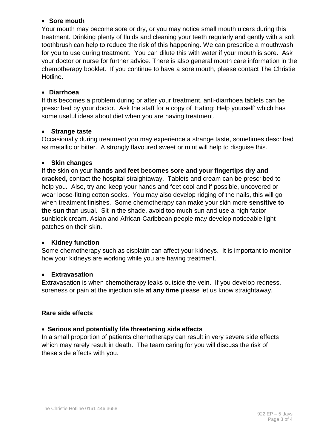#### • **Sore mouth**

Your mouth may become sore or dry, or you may notice small mouth ulcers during this treatment. Drinking plenty of fluids and cleaning your teeth regularly and gently with a soft toothbrush can help to reduce the risk of this happening. We can prescribe a mouthwash for you to use during treatment. You can dilute this with water if your mouth is sore. Ask your doctor or nurse for further advice. There is also general mouth care information in the chemotherapy booklet. If you continue to have a sore mouth, please contact The Christie Hotline.

#### • **Diarrhoea**

If this becomes a problem during or after your treatment, anti-diarrhoea tablets can be prescribed by your doctor. Ask the staff for a copy of 'Eating: Help yourself' which has some useful ideas about diet when you are having treatment.

#### • **Strange taste**

Occasionally during treatment you may experience a strange taste, sometimes described as metallic or bitter. A strongly flavoured sweet or mint will help to disguise this.

#### • **Skin changes**

If the skin on your **hands and feet becomes sore and your fingertips dry and cracked,** contact the hospital straightaway. Tablets and cream can be prescribed to help you. Also, try and keep your hands and feet cool and if possible, uncovered or wear loose-fitting cotton socks. You may also develop ridging of the nails, this will go when treatment finishes. Some chemotherapy can make your skin more **sensitive to the sun** than usual. Sit in the shade, avoid too much sun and use a high factor sunblock cream. Asian and African-Caribbean people may develop noticeable light patches on their skin.

#### • **Kidney function**

Some chemotherapy such as cisplatin can affect your kidneys. It is important to monitor how your kidneys are working while you are having treatment.

#### • **Extravasation**

Extravasation is when chemotherapy leaks outside the vein. If you develop redness, soreness or pain at the injection site **at any time** please let us know straightaway.

#### **Rare side effects**

#### • **Serious and potentially life threatening side effects**

In a small proportion of patients chemotherapy can result in very severe side effects which may rarely result in death. The team caring for you will discuss the risk of these side effects with you.